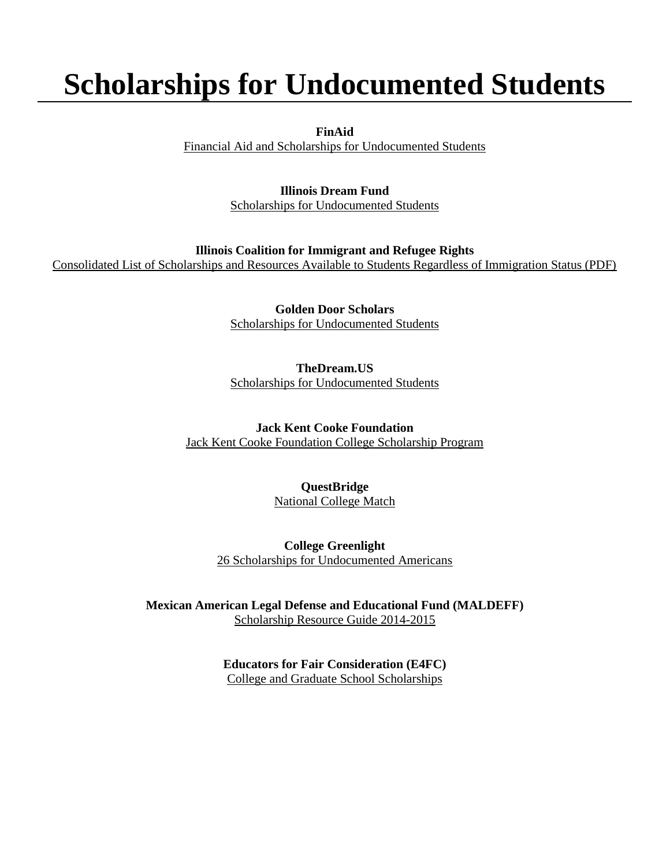# **Scholarships for Undocumented Students**

**FinAid**

[Financial Aid and Scholarships for Undocumented Students](http://www.finaid.org/otheraid/undocumented.phtml)

#### **Illinois Dream Fund**

[Scholarships for Undocumented Students](https://www.ildreamfund.org/)

#### **Illinois Coalition for Immigrant and Refugee Rights**

[Consolidated List of Scholarships and Resources Available to Students Regardless of Immigration Status \(PDF\)](https://www.iacac.org/wp-content/uploads/2011/10/Consolidated-Guide-to-Scholarships-and-Resources-2012.pdf)

**Golden Door Scholars** [Scholarships for Undocumented Students](http://www.goldendoorscholars.org/)

#### **TheDream.US**

[Scholarships for Undocumented Students](http://thedream.us/)

**Jack Kent Cooke Foundation** [Jack Kent Cooke Foundation College Scholarship Program](http://www.jkcf.org/scholarship-programs/college-scholarship/)

#### **QuestBridge**

[National College Match](http://www.questbridge.org/for-students/ncm-national-college-match)

**College Greenlight** [26 Scholarships for Undocumented Americans](http://blog.collegegreenlight.com/blog/easy-scholarships-for-undocumented-students/)

**Mexican American Legal Defense and Educational Fund (MALDEFF)** [Scholarship Resource Guide 2014-2015](http://www.maldef.org/assets/pdf/1415_MALDEF_Scholarship.pdf)

> **Educators for Fair Consideration (E4FC)** [College and Graduate School Scholarships](http://e4fc.org/resources/scholarshiplists.html)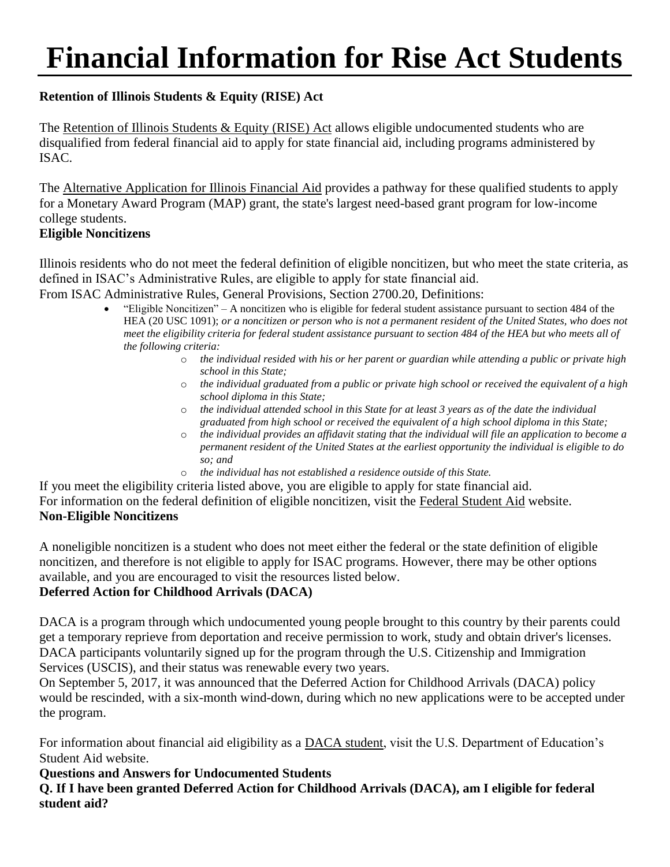# **Financial Information for Rise Act Students**

# **Retention of Illinois Students & Equity (RISE) Act**

The [Retention of Illinois Students & Equity \(RISE\) Act](https://www.isac.org/students/before-college/financial-aid-planning/retention-of-illinois-rise-act/) allows eligible undocumented students who are disqualified from federal financial aid to apply for state financial aid, including programs administered by ISAC.

The [Alternative Application for Illinois Financial Aid](https://www.isac.org/students/before-college/financial-aid-planning/retention-of-illinois-rise-act/#Application) provides a pathway for these qualified students to apply for a Monetary Award Program (MAP) grant, the state's largest need-based grant program for low-income college students.

#### **Eligible Noncitizens**

Illinois residents who do not meet the federal definition of eligible noncitizen, but who meet the state criteria, as defined in ISAC's Administrative Rules, are eligible to apply for state financial aid.

From ISAC Administrative Rules, General Provisions, Section 2700.20, Definitions:

- "Eligible Noncitizen" A noncitizen who is eligible for federal student assistance pursuant to section 484 of the HEA (20 USC 1091); *or a noncitizen or person who is not a permanent resident of the United States, who does not meet the eligibility criteria for federal student assistance pursuant to section 484 of the HEA but who meets all of the following criteria:*
	- o *the individual resided with his or her parent or guardian while attending a public or private high school in this State;*
	- o *the individual graduated from a public or private high school or received the equivalent of a high school diploma in this State;*
	- o *the individual attended school in this State for at least 3 years as of the date the individual graduated from high school or received the equivalent of a high school diploma in this State;*
	- o *the individual provides an affidavit stating that the individual will file an application to become a permanent resident of the United States at the earliest opportunity the individual is eligible to do so; and*
	- o *the individual has not established a residence outside of this State.*

If you meet the eligibility criteria listed above, you are eligible to apply for state financial aid. For information on the federal definition of eligible noncitizen, visit the [Federal Student Aid](https://studentaid.gov/understand-aid/eligibility/requirements/non-us-citizens) website. **Non-Eligible Noncitizens**

A noneligible noncitizen is a student who does not meet either the federal or the state definition of eligible noncitizen, and therefore is not eligible to apply for ISAC programs. However, there may be other options available, and you are encouraged to visit the resources listed below.

# **Deferred Action for Childhood Arrivals (DACA)**

DACA is a program through which undocumented young people brought to this country by their parents could get a temporary reprieve from deportation and receive permission to work, study and obtain driver's licenses. DACA participants voluntarily signed up for the program through the U.S. Citizenship and Immigration Services (USCIS), and their status was renewable every two years.

On September 5, 2017, it was announced that the Deferred Action for Childhood Arrivals (DACA) policy would be rescinded, with a six-month wind-down, during which no new applications were to be accepted under the program.

For information about financial aid eligibility as a [DACA student,](https://studentaid.gov/understand-aid/eligibility/requirements/non-us-citizens#daca-fafsa) visit the U.S. Department of Education's Student Aid website.

#### **Questions and Answers for Undocumented Students**

**Q. If I have been granted Deferred Action for Childhood Arrivals (DACA), am I eligible for federal student aid?**